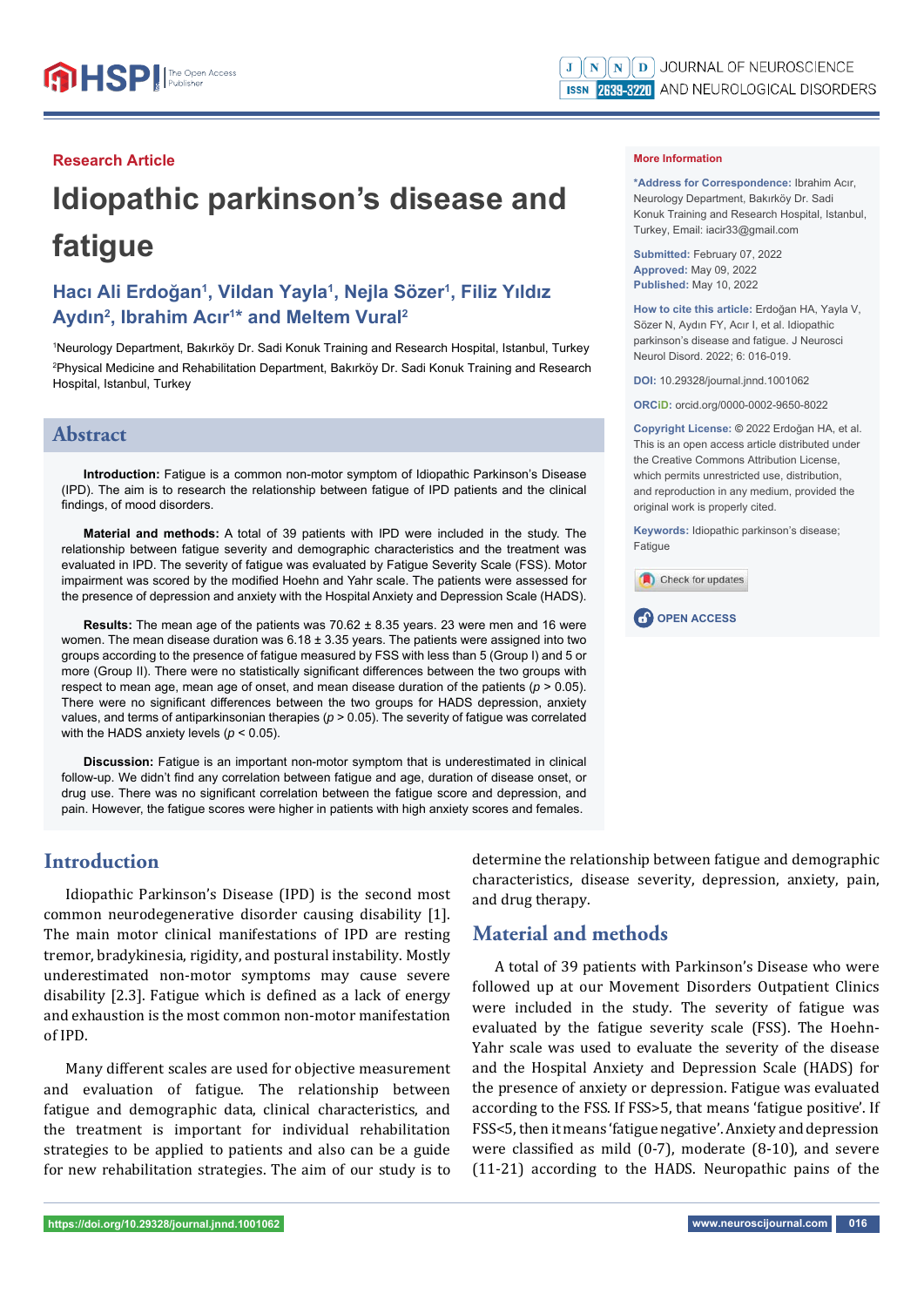#### **Research Article**

# **Idiopathic parkinson's disease and fatigue**

# **Hacı Ali Erdoğan1 , Vildan Yayla1 , Nejla Sözer1 , Filiz Yıldız Aydın2 , Ibrahim Acır1 \* and Meltem Vural2**

1 Neurology Department, Bakırköy Dr. Sadi Konuk Training and Research Hospital, Istanbul, Turkey 2 Physical Medicine and Rehabilitation Department, Bakırköy Dr. Sadi Konuk Training and Research Hospital, Istanbul, Turkey

## **Abstract**

**Introduction:** Fatigue is a common non-motor symptom of Idiopathic Parkinson's Disease (IPD). The aim is to research the relationship between fatigue of IPD patients and the clinical findings, of mood disorders.

**Material and methods:** A total of 39 patients with IPD were included in the study. The relationship between fatigue severity and demographic characteristics and the treatment was evaluated in IPD. The severity of fatigue was evaluated by Fatigue Severity Scale (FSS). Motor impairment was scored by the modified Hoehn and Yahr scale. The patients were assessed for the presence of depression and anxiety with the Hospital Anxiety and Depression Scale (HADS).

**Results:** The mean age of the patients was 70.62 ± 8.35 years. 23 were men and 16 were women. The mean disease duration was  $6.18 \pm 3.35$  years. The patients were assigned into two groups according to the presence of fatigue measured by FSS with less than 5 (Group I) and 5 or more (Group II). There were no statistically significant differences between the two groups with respect to mean age, mean age of onset, and mean disease duration of the patients  $(p > 0.05)$ . There were no significant differences between the two groups for HADS depression, anxiety values, and terms of antiparkinsonian therapies (*p* > 0.05). The severity of fatigue was correlated with the HADS anxiety levels (*p* < 0.05).

**Discussion:** Fatigue is an important non-motor symptom that is underestimated in clinical follow-up. We didn't find any correlation between fatigue and age, duration of disease onset, or drug use. There was no significant correlation between the fatigue score and depression, and pain. However, the fatigue scores were higher in patients with high anxiety scores and females.

## **Introduction**

Idiopathic Parkinson's Disease (IPD) is the second most common neurodegenerative disorder causing disability [1]. The main motor clinical manifestations of IPD are resting tremor, bradykinesia, rigidity, and postural instability. Mostly underestimated non-motor symptoms may cause severe disability [2.3]. Fatigue which is defined as a lack of energy and exhaustion is the most common non-motor manifestation of IPD.

Many different scales are used for objective measurement and evaluation of fatigue. The relationship between fatigue and demographic data, clinical characteristics, and the treatment is important for individual rehabilitation strategies to be applied to patients and also can be a guide for new rehabilitation strategies. The aim of our study is to determine the relationship between fatigue and demographic characteristics, disease severity, depression, anxiety, pain, and drug therapy.

## **Material and methods**

A total of 39 patients with Parkinson's Disease who were followed up at our Movement Disorders Outpatient Clinics were included in the study. The severity of fatigue was evaluated by the fatigue severity scale (FSS). The Hoehn-Yahr scale was used to evaluate the severity of the disease and the Hospital Anxiety and Depression Scale (HADS) for the presence of anxiety or depression. Fatigue was evaluated according to the FSS. If FSS>5, that means 'fatigue positive'. If FSS<5, then it means 'fatigue negative'. Anxiety and depression were classified as mild  $(0-7)$ , moderate  $(8-10)$ , and severe (11-21) according to the HADS. Neuropathic pains of the

**\*Address for Correspondence:** Ibrahim Acır, Neurology Department, Bakırköy Dr. Sadi Konuk Training and Research Hospital, Istanbul, Turkey, Email: iacir33@gmail.com

**Submitted:** February 07, 2022 **Approved:** May 09, 2022 **Published:** May 10, 2022

**How to cite this article:** Erdoğan HA, Yayla V, Sözer N, Aydın FY, Acır I, et al. Idiopathic parkinson's disease and fatigue. J Neurosci Neurol Disord. 2022; 6: 016-019.

**DOI:** 10.29328/journal.jnnd.1001062

**ORCiD:** orcid.org/0000-0002-9650-8022

**Copyright License: ©** 2022 Erdoğan HA, et al. This is an open access article distributed under the Creative Commons Attribution License, which permits unrestricted use, distribution, and reproduction in any medium, provided the original work is properly cited.

**Keywords:** Idiopathic parkinson's disease; **Fatigue** 



**CP** OPEN ACCESS

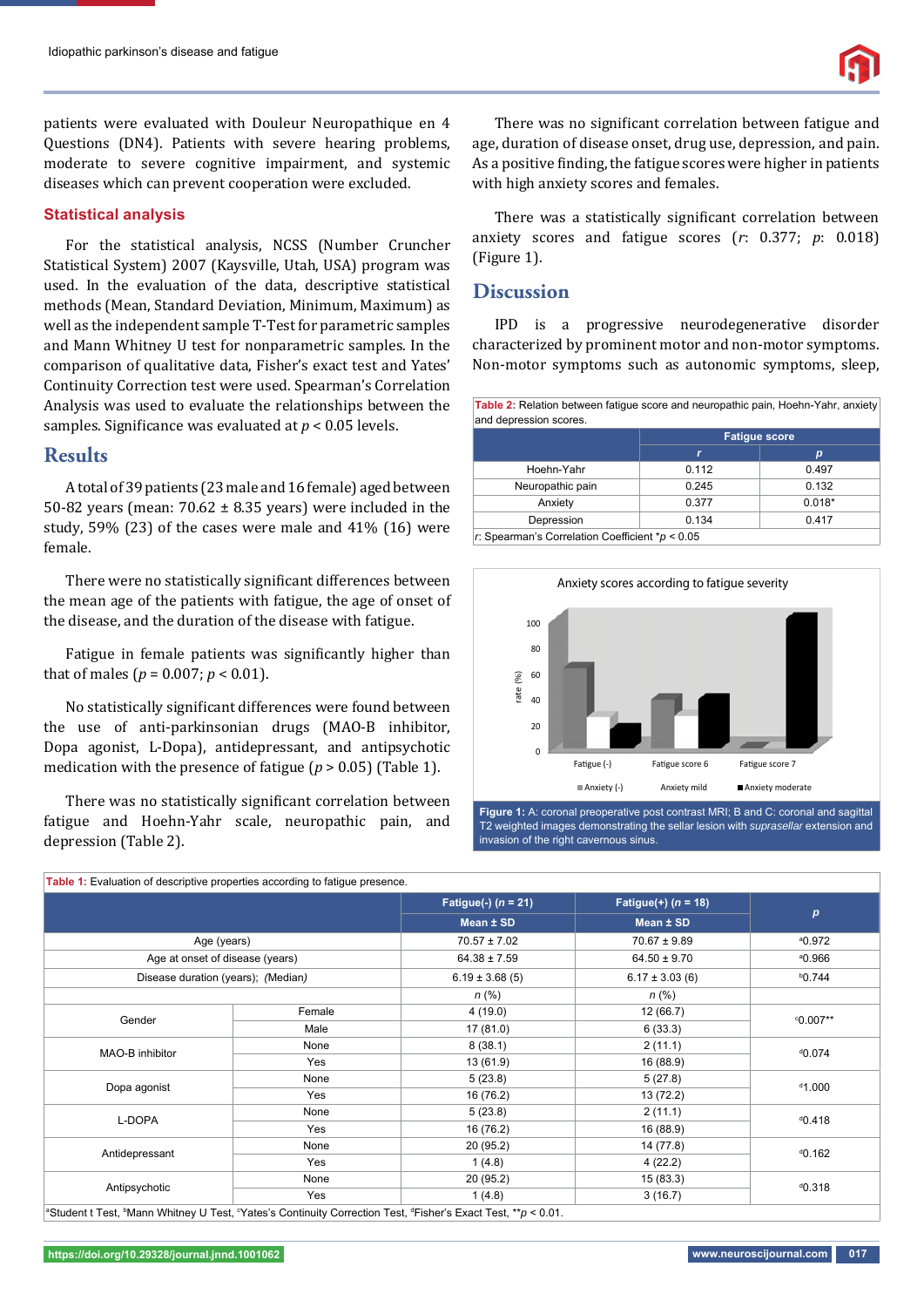patients were evaluated with Douleur Neuropathique en 4 Questions (DN4). Patients with severe hearing problems, moderate to severe cognitive impairment, and systemic diseases which can prevent cooperation were excluded.

#### **Statistical analysis**

For the statistical analysis, NCSS (Number Cruncher Statistical System) 2007 (Kaysville, Utah, USA) program was used. In the evaluation of the data, descriptive statistical methods (Mean, Standard Deviation, Minimum, Maximum) as well as the independent sample T-Test for parametric samples and Mann Whitney U test for nonparametric samples. In the comparison of qualitative data, Fisher's exact test and Yates' Continuity Correction test were used. Spearman's Correlation Analysis was used to evaluate the relationships between the samples. Significance was evaluated at  $p < 0.05$  levels.

## **Results**

A total of 39 patients (23 male and 16 female) aged between 50-82 years (mean:  $70.62 \pm 8.35$  years) were included in the study, 59% (23) of the cases were male and 41% (16) were female.

There were no statistically significant differences between the mean age of the patients with fatigue, the age of onset of the disease, and the duration of the disease with fatigue.

Fatigue in female patients was significantly higher than that of males ( $p = 0.007$ ;  $p < 0.01$ ).

No statistically significant differences were found between the use of anti-parkinsonian drugs (MAO-B inhibitor, Dopa agonist, L-Dopa), antidepressant, and antipsychotic medication with the presence of fatigue ( $p > 0.05$ ) (Table 1).

There was no statistically significant correlation between fatigue and Hoehn-Yahr scale, neuropathic pain, and depression (Table 2).

There was no significant correlation between fatigue and age, duration of disease onset, drug use, depression, and pain. As a positive finding, the fatigue scores were higher in patients with high anxiety scores and females.

There was a statistically significant correlation between anxiety scores and fatigue scores (*r*: 0.377; *p*: 0.018) (Figure 1).

## **Discussion**

IPD is a progressive neurodegenerative disorder characterized by prominent motor and non-motor symptoms. Non-motor symptoms such as autonomic symptoms, sleep,

|                  | <b>Fatique score</b> |          |  |
|------------------|----------------------|----------|--|
|                  | r                    | р        |  |
| Hoehn-Yahr       | 0.112                | 0.497    |  |
| Neuropathic pain | 0.245                | 0.132    |  |
| Anxiety          | 0.377                | $0.018*$ |  |
| Depression       | 0.134                | 0.417    |  |



**Figure 1:** A: coronal preoperative post contrast MRI: B and C: coronal and sagittal T2 weighted images demonstrating the sellar lesion with *suprasellar* extension and invasion of the right cavernous sinus.

|                                    |        | Fatigue(-) $(n = 21)$<br>Mean ± SD | Fatigue(+) $(n = 18)$<br>Mean ± SD | $\boldsymbol{p}$   |
|------------------------------------|--------|------------------------------------|------------------------------------|--------------------|
|                                    |        |                                    |                                    |                    |
| Age (years)                        |        | $70.57 \pm 7.02$                   | $70.67 \pm 9.89$                   | <sup>a</sup> 0.972 |
| Age at onset of disease (years)    |        | $64.38 \pm 7.59$                   | $64.50 \pm 9.70$                   | <sup>a</sup> 0.966 |
| Disease duration (years); (Median) |        | $6.19 \pm 3.68$ (5)                | $6.17 \pm 3.03$ (6)                | $b$ 0.744          |
|                                    |        | $n (\%)$                           | $n (\%)$                           |                    |
| Gender                             | Female | 4(19.0)                            | 12 (66.7)                          | $0.007**$          |
|                                    | Male   | 17 (81.0)                          | 6(33.3)                            |                    |
| MAO-B inhibitor                    | None   | 8(38.1)                            | 2(11.1)                            | 0.074              |
|                                    | Yes    | 13 (61.9)                          | 16 (88.9)                          |                    |
| Dopa agonist                       | None   | 5(23.8)                            | 5(27.8)                            | $000^{10}$         |
|                                    | Yes    | 16 (76.2)                          | 13 (72.2)                          |                    |
| L-DOPA                             | None   | 5(23.8)                            | 2(11.1)                            | 0.418              |
|                                    | Yes    | 16 (76.2)                          | 16 (88.9)                          |                    |
| Antidepressant                     | None   | 20 (95.2)                          | 14 (77.8)                          | 0.162              |
|                                    | Yes    | 1(4.8)                             | 4(22.2)                            |                    |
| Antipsychotic                      | None   | 20 (95.2)                          | 15(83.3)                           | 0.318              |
|                                    | Yes    | 1(4.8)                             | 3(16.7)                            |                    |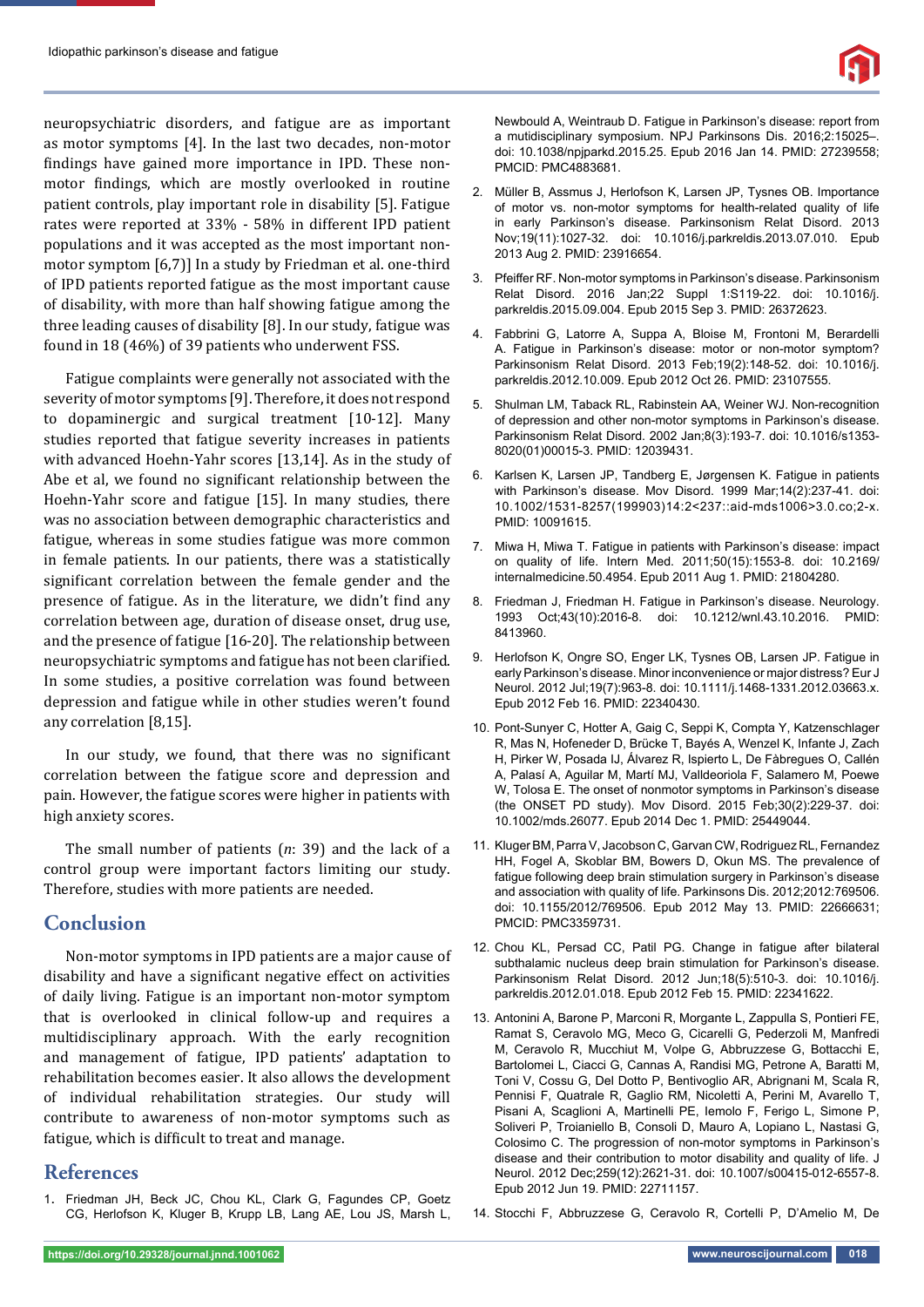neuropsychiatric disorders, and fatigue are as important as motor symptoms [4]. In the last two decades, non-motor findings have gained more importance in IPD. These nonmotor findings, which are mostly overlooked in routine patient controls, play important role in disability [5]. Fatigue rates were reported at 33% - 58% in different IPD patient populations and it was accepted as the most important nonmotor symptom [6,7)] In a study by Friedman et al. one-third of IPD patients reported fatigue as the most important cause of disability, with more than half showing fatigue among the three leading causes of disability [8]. In our study, fatigue was found in 18 (46%) of 39 patients who underwent FSS.

Fatigue complaints were generally not associated with the severity of motor symptoms [9]. Therefore, it does not respond to dopaminergic and surgical treatment [10-12]. Many studies reported that fatigue severity increases in patients with advanced Hoehn-Yahr scores [13,14]. As in the study of Abe et al, we found no significant relationship between the Hoehn-Yahr score and fatigue [15]. In many studies, there was no association between demographic characteristics and fatigue, whereas in some studies fatigue was more common in female patients. In our patients, there was a statistically significant correlation between the female gender and the presence of fatigue. As in the literature, we didn't find any correlation between age, duration of disease onset, drug use, and the presence of fatigue [16-20]. The relationship between neuropsychiatric symptoms and fatigue has not been clarified. In some studies, a positive correlation was found between depression and fatigue while in other studies weren't found any correlation [8,15].

In our study, we found, that there was no significant correlation between the fatigue score and depression and pain. However, the fatigue scores were higher in patients with high anxiety scores.

The small number of patients (*n*: 39) and the lack of a control group were important factors limiting our study. Therefore, studies with more patients are needed.

## **Conclusion**

Non-motor symptoms in IPD patients are a major cause of disability and have a significant negative effect on activities of daily living. Fatigue is an important non-motor symptom that is overlooked in clinical follow-up and requires a multidisciplinary approach. With the early recognition and management of fatigue, IPD patients' adaptation to rehabilitation becomes easier. It also allows the development of individual rehabilitation strategies. Our study will contribute to awareness of non-motor symptoms such as fatigue, which is difficult to treat and manage.

## **References**

1. Friedman JH, Beck JC, Chou KL, Clark G, Fagundes CP, Goetz CG, Herlofson K, Kluger B, Krupp LB, Lang AE, Lou JS, Marsh L,

Newbould A, Weintraub D. Fatigue in Parkinson's disease: report from a mutidisciplinary symposium. NPJ Parkinsons Dis. 2016;2:15025–. doi: 10.1038/npjparkd.2015.25. Epub 2016 Jan 14. PMID: 27239558; PMCID: PMC4883681.

- 2. Müller B, Assmus J, Herlofson K, Larsen JP, Tysnes OB. Importance of motor vs. non-motor symptoms for health-related quality of life in early Parkinson's disease. Parkinsonism Relat Disord. 2013 Nov;19(11):1027-32. doi: 10.1016/j.parkreldis.2013.07.010. Epub 2013 Aug 2. PMID: 23916654.
- 3. Pfeiffer RF. Non-motor symptoms in Parkinson's disease. Parkinsonism Relat Disord. 2016 Jan;22 Suppl 1:S119-22. doi: 10.1016/j. parkreldis.2015.09.004. Epub 2015 Sep 3. PMID: 26372623.
- 4. Fabbrini G, Latorre A, Suppa A, Bloise M, Frontoni M, Berardelli A. Fatigue in Parkinson's disease: motor or non-motor symptom? Parkinsonism Relat Disord. 2013 Feb;19(2):148-52. doi: 10.1016/j. parkreldis.2012.10.009. Epub 2012 Oct 26. PMID: 23107555.
- 5. Shulman LM, Taback RL, Rabinstein AA, Weiner WJ. Non-recognition of depression and other non-motor symptoms in Parkinson's disease. Parkinsonism Relat Disord. 2002 Jan;8(3):193-7. doi: 10.1016/s1353- 8020(01)00015-3. PMID: 12039431.
- 6. Karlsen K, Larsen JP, Tandberg E, Jørgensen K. Fatigue in patients with Parkinson's disease. Mov Disord. 1999 Mar;14(2):237-41. doi: 10.1002/1531-8257(199903)14:2<237::aid-mds1006>3.0.co;2-x. PMID: 10091615.
- 7. Miwa H, Miwa T. Fatigue in patients with Parkinson's disease: impact on quality of life. Intern Med. 2011;50(15):1553-8. doi: 10.2169/ internalmedicine.50.4954. Epub 2011 Aug 1. PMID: 21804280.
- 8. Friedman J, Friedman H. Fatigue in Parkinson's disease. Neurology. 1993 Oct;43(10):2016-8. doi: 10.1212/wnl.43.10.2016. PMID: 8413960.
- 9. Herlofson K, Ongre SO, Enger LK, Tysnes OB, Larsen JP. Fatigue in early Parkinson's disease. Minor inconvenience or major distress? Eur J Neurol. 2012 Jul;19(7):963-8. doi: 10.1111/j.1468-1331.2012.03663.x. Epub 2012 Feb 16. PMID: 22340430.
- 10. Pont-Sunyer C, Hotter A, Gaig C, Seppi K, Compta Y, Katzenschlager R, Mas N, Hofeneder D, Brücke T, Bayés A, Wenzel K, Infante J, Zach H, Pirker W, Posada IJ, Álvarez R, Ispierto L, De Fàbregues O, Callén A, Palasí A, Aguilar M, Martí MJ, Valldeoriola F, Salamero M, Poewe W, Tolosa E. The onset of nonmotor symptoms in Parkinson's disease (the ONSET PD study). Mov Disord. 2015 Feb;30(2):229-37. doi: 10.1002/mds.26077. Epub 2014 Dec 1. PMID: 25449044.
- 11. Kluger BM, Parra V, Jacobson C, Garvan CW, Rodriguez RL, Fernandez HH, Fogel A, Skoblar BM, Bowers D, Okun MS. The prevalence of fatigue following deep brain stimulation surgery in Parkinson's disease and association with quality of life. Parkinsons Dis. 2012;2012:769506. doi: 10.1155/2012/769506. Epub 2012 May 13. PMID: 22666631; PMCID: PMC3359731.
- 12. Chou KL, Persad CC, Patil PG. Change in fatigue after bilateral subthalamic nucleus deep brain stimulation for Parkinson's disease. Parkinsonism Relat Disord. 2012 Jun;18(5):510-3. doi: 10.1016/j. parkreldis.2012.01.018. Epub 2012 Feb 15. PMID: 22341622.
- 13. Antonini A, Barone P, Marconi R, Morgante L, Zappulla S, Pontieri FE, Ramat S, Ceravolo MG, Meco G, Cicarelli G, Pederzoli M, Manfredi M, Ceravolo R, Mucchiut M, Volpe G, Abbruzzese G, Bottacchi E, Bartolomei L, Ciacci G, Cannas A, Randisi MG, Petrone A, Baratti M, Toni V, Cossu G, Del Dotto P, Bentivoglio AR, Abrignani M, Scala R, Pennisi F, Quatrale R, Gaglio RM, Nicoletti A, Perini M, Avarello T, Pisani A, Scaglioni A, Martinelli PE, Iemolo F, Ferigo L, Simone P, Soliveri P, Troianiello B, Consoli D, Mauro A, Lopiano L, Nastasi G, Colosimo C. The progression of non-motor symptoms in Parkinson's disease and their contribution to motor disability and quality of life. J Neurol. 2012 Dec;259(12):2621-31. doi: 10.1007/s00415-012-6557-8. Epub 2012 Jun 19. PMID: 22711157.
- 14. Stocchi F, Abbruzzese G, Ceravolo R, Cortelli P, D'Amelio M, De